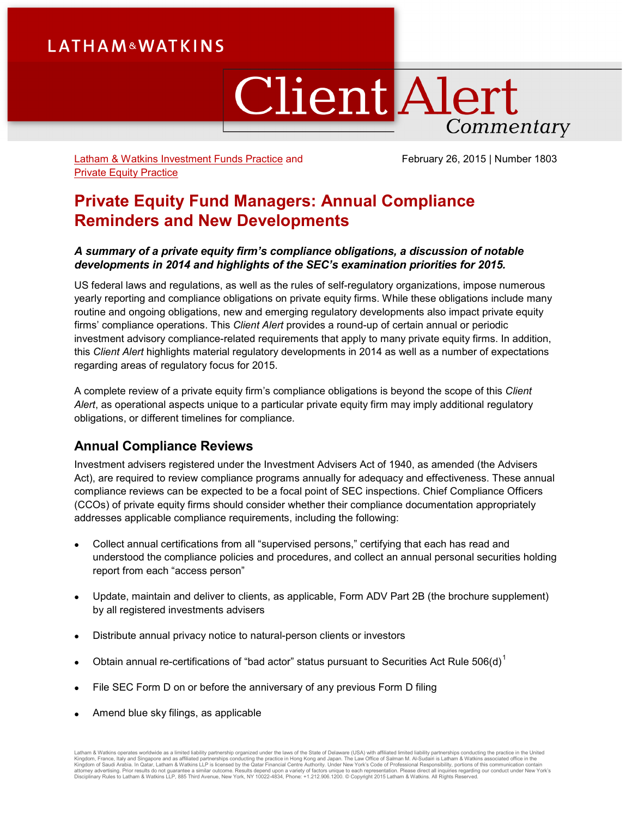# **LATHAM&WATKINS**

# **Client Alert** Commentary

[Latham & Watkins Investment Funds Practice](http://www.lw.com/practices/InvestmentFunds) and [Private Equity Practice](http://www.lw.com/practices/PrivateEquity)

February 26, 2015 | Number 1803

## **Private Equity Fund Managers: Annual Compliance Reminders and New Developments**

## *A summary of a private equity firm's compliance obligations, a discussion of notable developments in 2014 and highlights of the SEC's examination priorities for 2015.*

US federal laws and regulations, as well as the rules of self-regulatory organizations, impose numerous yearly reporting and compliance obligations on private equity firms. While these obligations include many routine and ongoing obligations, new and emerging regulatory developments also impact private equity firms' compliance operations. This *Client Alert* provides a round-up of certain annual or periodic investment advisory compliance-related requirements that apply to many private equity firms. In addition, this *Client Alert* highlights material regulatory developments in 2014 as well as a number of expectations regarding areas of regulatory focus for 2015.

A complete review of a private equity firm's compliance obligations is beyond the scope of this *Client Alert*, as operational aspects unique to a particular private equity firm may imply additional regulatory obligations, or different timelines for compliance.

## **Annual Compliance Reviews**

Investment advisers registered under the Investment Advisers Act of 1940, as amended (the Advisers Act), are required to review compliance programs annually for adequacy and effectiveness. These annual compliance reviews can be expected to be a focal point of SEC inspections. Chief Compliance Officers (CCOs) of private equity firms should consider whether their compliance documentation appropriately addresses applicable compliance requirements, including the following:

- Collect annual certifications from all "supervised persons," certifying that each has read and understood the compliance policies and procedures, and collect an annual personal securities holding report from each "access person"
- Update, maintain and deliver to clients, as applicable, Form ADV Part 2B (the brochure supplement) by all registered investments advisers
- Distribute annual privacy notice to natural-person clients or investors
- Obtain annual re-certifications of "bad actor" status pursuant to Securities Act Rule  $506(d)^1$  $506(d)^1$
- File SEC Form D on or before the anniversary of any previous Form D filing
- Amend blue sky filings, as applicable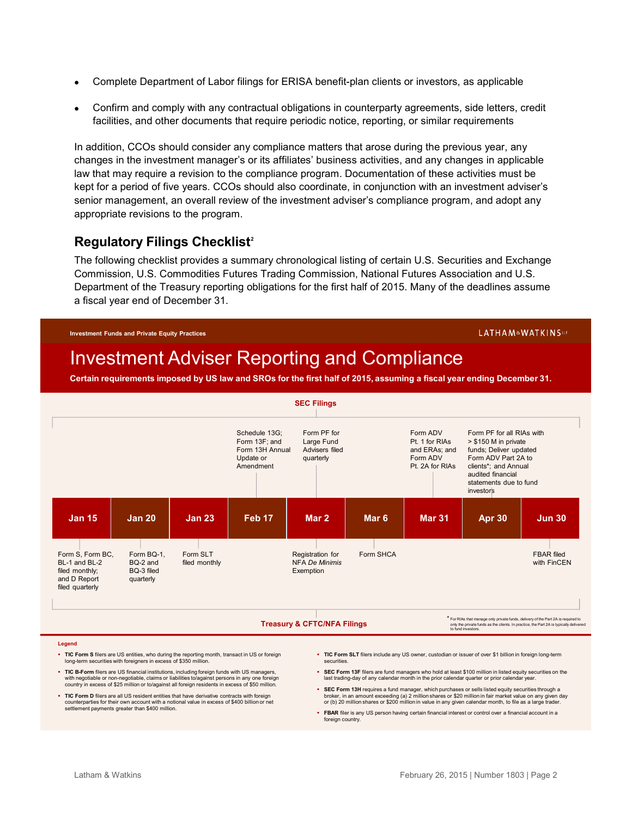- Complete Department of Labor filings for ERISA benefit-plan clients or investors, as applicable
- Confirm and comply with any contractual obligations in counterparty agreements, side letters, credit facilities, and other documents that require periodic notice, reporting, or similar requirements

In addition, CCOs should consider any compliance matters that arose during the previous year, any changes in the investment manager's or its affiliates' business activities, and any changes in applicable law that may require a revision to the compliance program. Documentation of these activities must be kept for a period of five years. CCOs should also coordinate, in conjunction with an investment adviser's senior management, an overall review of the investment adviser's compliance program, and adopt any appropriate revisions to the program.

## **Regulatory Filings Checklist[2](#page-7-1)**

The following checklist provides a summary chronological listing of certain U.S. Securities and Exchange Commission, U.S. Commodities Futures Trading Commission, National Futures Association and U.S. Department of the Treasury reporting obligations for the first half of 2015. Many of the deadlines assume a fiscal year end of December 31.

#### **Investment Funds and Private Equity Practices**

#### LATHAM&WATKINSLLP

# Investment Adviser Reporting and Compliance

**Certain requirements imposed by US law and SROs for the first half of 2015, assuming a fiscal year ending December 31.** 



#### **Legend**

- **TIC Form S** filers are US entities, who during the reporting month, transact in US or foreign long-term securities with foreigners in excess of \$350 million.
- **TIC B-Form** filers are US financial institutions, including foreign funds with US managers, with negotiable or non-negotiable, claims or liabilities to/against persons in any one foreign country in excess of \$25 million or to/against all foreign residents in excess of \$50 million.
- **TIC Form D** filers are all US resident entities that have derivative contracts with foreign counterparties for their own account with a notional value in excess of \$400 billion or net settlement payments greater than \$400 million.
- **TIC Form SLT** filers include any US owner, custodian or issuer of over \$1 billion in foreign long-term securities
- **SEC Form 13F** filers are fund managers who hold at least \$100 million in listed equity securities on the last trading-day of any calendar month in the prior calendar quarter or prior calendar year.
- **SEC Form 13H** requires a fund manager, which purchases or sells listed equity securities through a broker, in an amount exceeding (a) 2 million shares or \$20 million in fair market value on any given day or (b) 20 million shares or \$200 million in value in any given calendar month, to file as a large trader.
- **FBAR** filer is any US person having certain financial interest or control over a financial account in a foreign country.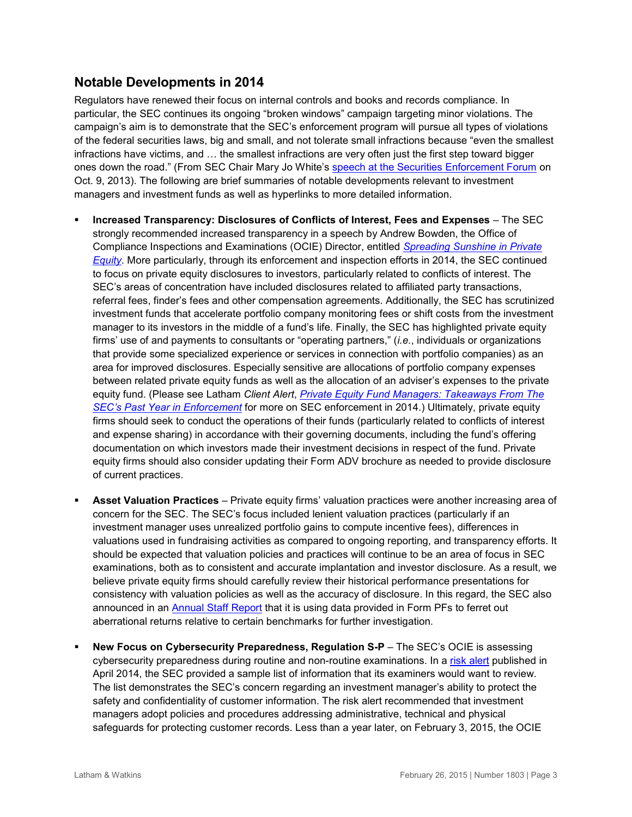## **Notable Developments in 2014**

Regulators have renewed their focus on internal controls and books and records compliance. In particular, the SEC continues its ongoing "broken windows" campaign targeting minor violations. The campaign's aim is to demonstrate that the SEC's enforcement program will pursue all types of violations of the federal securities laws, big and small, and not tolerate small infractions because "even the smallest infractions have victims, and … the smallest infractions are very often just the first step toward bigger ones down the road." (From SEC Chair Mary Jo White's [speech at the Securities Enforcement Forum](http://www.sec.gov/News/Speech/Detail/Speech/1370539872100#.VNkkRvnF-Ck) on Oct. 9, 2013). The following are brief summaries of notable developments relevant to investment managers and investment funds as well as hyperlinks to more detailed information.

- **Increased Transparency: Disclosures of Conflicts of Interest, Fees and Expenses**  The SEC strongly recommended increased transparency in a speech by Andrew Bowden, the Office of Compliance Inspections and Examinations (OCIE) Director, entitled *[Spreading Sunshine in Private](http://www.sec.gov/News/Speech/Detail/Speech/1370541735361#.VMkMUmjF-Ck)  [Equity](http://www.sec.gov/News/Speech/Detail/Speech/1370541735361#.VMkMUmjF-Ck)*. More particularly, through its enforcement and inspection efforts in 2014, the SEC continued to focus on private equity disclosures to investors, particularly related to conflicts of interest. The SEC's areas of concentration have included disclosures related to affiliated party transactions, referral fees, finder's fees and other compensation agreements. Additionally, the SEC has scrutinized investment funds that accelerate portfolio company monitoring fees or shift costs from the investment manager to its investors in the middle of a fund's life. Finally, the SEC has highlighted private equity firms' use of and payments to consultants or "operating partners," (*i.e.*, individuals or organizations that provide some specialized experience or services in connection with portfolio companies) as an area for improved disclosures. Especially sensitive are allocations of portfolio company expenses between related private equity funds as well as the allocation of an adviser's expenses to the private equity fund. (Please see Latham *Client Alert*, *[Private Equity Fund Managers: Takeaways From The](http://www.lw.com/thoughtLeadership/lw-SEC-enforcement-focus-private-equity)  [SEC's Past Year in Enforcement](http://www.lw.com/thoughtLeadership/lw-SEC-enforcement-focus-private-equity)* for more on SEC enforcement in 2014.) Ultimately, private equity firms should seek to conduct the operations of their funds (particularly related to conflicts of interest and expense sharing) in accordance with their governing documents, including the fund's offering documentation on which investors made their investment decisions in respect of the fund. Private equity firms should also consider updating their Form ADV brochure as needed to provide disclosure of current practices.
- **Asset Valuation Practices**  Private equity firms' valuation practices were another increasing area of concern for the SEC. The SEC's focus included lenient valuation practices (particularly if an investment manager uses unrealized portfolio gains to compute incentive fees), differences in valuations used in fundraising activities as compared to ongoing reporting, and transparency efforts. It should be expected that valuation policies and practices will continue to be an area of focus in SEC examinations, both as to consistent and accurate implantation and investor disclosure. As a result, we believe private equity firms should carefully review their historical performance presentations for consistency with valuation policies as well as the accuracy of disclosure. In this regard, the SEC also announced in an [Annual Staff Report](http://www.sec.gov/reportspubs/special-studies/im-private-fund-annual-report-081514.pdf) that it is using data provided in Form PFs to ferret out aberrational returns relative to certain benchmarks for further investigation.
- **New Focus on Cybersecurity Preparedness, Regulation S-P** The SEC's OCIE is assessing cybersecurity preparedness during routine and non-routine examinations. In a [risk](http://www.sec.gov/ocie/announcement/Cybersecurity+Risk+Alert++%2526+Appendix+-+4.15.14.pdf) alert published in April 2014, the SEC provided a sample list of information that its examiners would want to review. The list demonstrates the SEC's concern regarding an investment manager's ability to protect the safety and confidentiality of customer information. The risk alert recommended that investment managers adopt policies and procedures addressing administrative, technical and physical safeguards for protecting customer records. Less than a year later, on February 3, 2015, the OCIE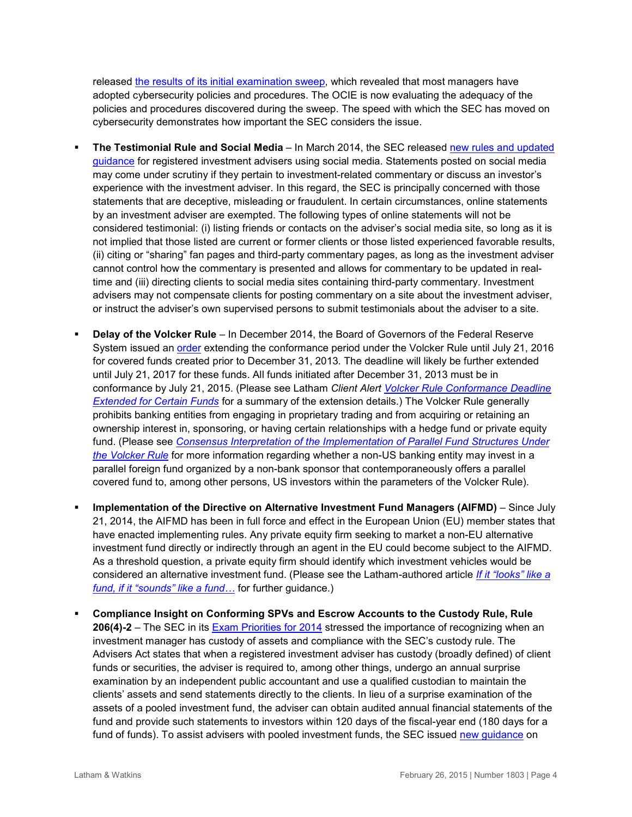released [the results of its initial examination sweep,](http://www.sec.gov/about/offices/ocie/cybersecurity-examination-sweep-summary.pdf) which revealed that most managers have adopted cybersecurity policies and procedures. The OCIE is now evaluating the adequacy of the policies and procedures discovered during the sweep. The speed with which the SEC has moved on cybersecurity demonstrates how important the SEC considers the issue.

- **The Testimonial Rule and Social Media** In March 2014, the SEC released [new rules and updated](http://www.sec.gov/investment/im-guidance-2014-04.pdf)  [guidance](http://www.sec.gov/investment/im-guidance-2014-04.pdf) for registered investment advisers using social media. Statements posted on social media may come under scrutiny if they pertain to investment-related commentary or discuss an investor's experience with the investment adviser. In this regard, the SEC is principally concerned with those statements that are deceptive, misleading or fraudulent. In certain circumstances, online statements by an investment adviser are exempted. The following types of online statements will not be considered testimonial: (i) listing friends or contacts on the adviser's social media site, so long as it is not implied that those listed are current or former clients or those listed experienced favorable results, (ii) citing or "sharing" fan pages and third-party commentary pages, as long as the investment adviser cannot control how the commentary is presented and allows for commentary to be updated in realtime and (iii) directing clients to social media sites containing third-party commentary. Investment advisers may not compensate clients for posting commentary on a site about the investment adviser, or instruct the adviser's own supervised persons to submit testimonials about the adviser to a site.
- **Delay of the Volcker Rule** In December 2014, the Board of Governors of the Federal Reserve System issued an [order](http://www.federalreserve.gov/newsevents/press/bcreg/bcreg20141218a1.pdf) extending the conformance period under the Volcker Rule until July 21, 2016 for covered funds created prior to December 31, 2013. The deadline will likely be further extended until July 21, 2017 for these funds. All funds initiated after December 31, 2013 must be in conformance by July 21, 2015. (Please see Latham *Client Alert [Volcker Rule Conformance Deadline](http://www.lw.com/thoughtLeadership/LW-federal-reserve-board-grants-one-year-extension-volcker-rule)  [Extended for Certain Funds](http://www.lw.com/thoughtLeadership/LW-federal-reserve-board-grants-one-year-extension-volcker-rule)* for a summary of the extension details.) The Volcker Rule generally prohibits banking entities from engaging in proprietary trading and from acquiring or retaining an ownership interest in, sponsoring, or having certain relationships with a hedge fund or private equity fund. (Please see *[Consensus Interpretation of the Implementation of Parallel Fund Structures Under](http://www.pegcc.org/wordpress/wp-content/uploads/Consensus-Letter-on-Parallel-Funds-under-the-Volcker-Rule-5-1-14.pdf)  [the Volcker Rule](http://www.pegcc.org/wordpress/wp-content/uploads/Consensus-Letter-on-Parallel-Funds-under-the-Volcker-Rule-5-1-14.pdf)* for more information regarding whether a non-US banking entity may invest in a parallel foreign fund organized by a non-bank sponsor that contemporaneously offers a parallel covered fund to, among other persons, US investors within the parameters of the Volcker Rule).
- **Implementation of the Directive on Alternative Investment Fund Managers (AIFMD)** Since July 21, 2014, the AIFMD has been in full force and effect in the European Union (EU) member states that have enacted implementing rules. Any private equity firm seeking to market a non-EU alternative investment fund directly or indirectly through an agent in the EU could become subject to the AIFMD. As a threshold question, a private equity firm should identify which investment vehicles would be considered an alternative investment fund. (Please see the Latham-authored article *[If it "looks" like a](http://www.lw.com/thoughtLeadership/looks-like-fund-sounds-like-fund-2014)  [fund, if it "sounds" like a fund…](http://www.lw.com/thoughtLeadership/looks-like-fund-sounds-like-fund-2014)* for further guidance.)
- **Compliance Insight on Conforming SPVs and Escrow Accounts to the Custody Rule, Rule 206(4)-2** – The SEC in its [Exam Priorities for 2014](http://www.sec.gov/about/offices/ocie/national-examination-program-priorities-2014.pdf) stressed the importance of recognizing when an investment manager has custody of assets and compliance with the SEC's custody rule. The Advisers Act states that when a registered investment adviser has custody (broadly defined) of client funds or securities, the adviser is required to, among other things, undergo an annual surprise examination by an independent public accountant and use a qualified custodian to maintain the clients' assets and send statements directly to the clients. In lieu of a surprise examination of the assets of a pooled investment fund, the adviser can obtain audited annual financial statements of the fund and provide such statements to investors within 120 days of the fiscal-year end (180 days for a fund of funds). To assist advisers with pooled investment funds, the SEC issued new quidance on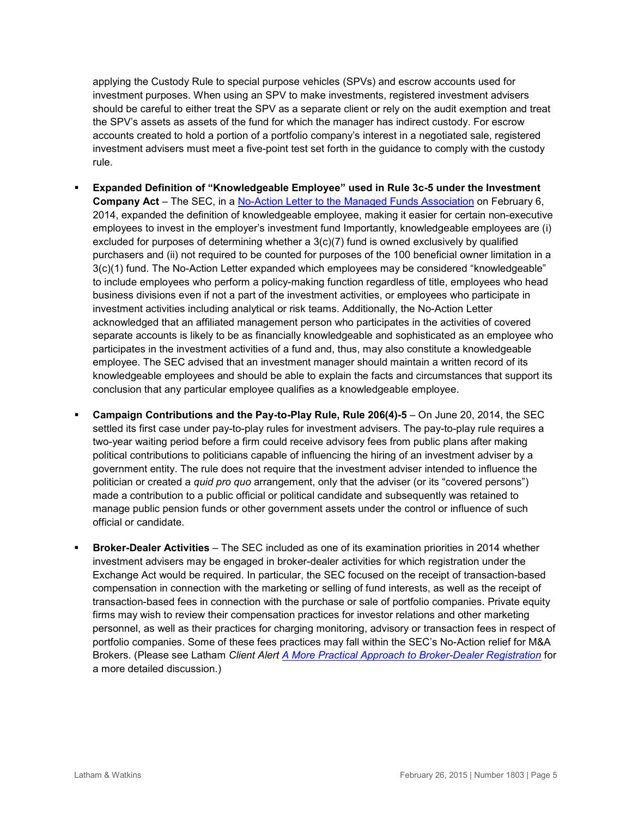applying the Custody Rule to special purpose vehicles (SPVs) and escrow accounts used for investment purposes. When using an SPV to make investments, registered investment advisers should be careful to either treat the SPV as a separate client or rely on the audit exemption and treat the SPV's assets as assets of the fund for which the manager has indirect custody. For escrow accounts created to hold a portion of a portfolio company's interest in a negotiated sale, registered investment advisers must meet a five-point test set forth in the guidance to comply with the custody rule.

- **Expanded Definition of "Knowledgeable Employee" used in Rule 3c-5 under the Investment Company Act** – The SEC, in a [No-Action Letter to the Managed Funds Association](http://www.sec.gov/divisions/investment/noaction/2014/managed-funds-association-020614.htm) on February 6, 2014, expanded the definition of knowledgeable employee, making it easier for certain non-executive employees to invest in the employer's investment fund Importantly, knowledgeable employees are (i) excluded for purposes of determining whether a  $3(c)(7)$  fund is owned exclusively by qualified purchasers and (ii) not required to be counted for purposes of the 100 beneficial owner limitation in a 3(c)(1) fund. The No-Action Letter expanded which employees may be considered "knowledgeable" to include employees who perform a policy-making function regardless of title, employees who head business divisions even if not a part of the investment activities, or employees who participate in investment activities including analytical or risk teams. Additionally, the No-Action Letter acknowledged that an affiliated management person who participates in the activities of covered separate accounts is likely to be as financially knowledgeable and sophisticated as an employee who participates in the investment activities of a fund and, thus, may also constitute a knowledgeable employee. The SEC advised that an investment manager should maintain a written record of its knowledgeable employees and should be able to explain the facts and circumstances that support its conclusion that any particular employee qualifies as a knowledgeable employee.
- **Campaign Contributions and the Pay-to-Play Rule, Rule 206(4)-5** On June 20, 2014, the SEC settled its first case under pay-to-play rules for investment advisers. The pay-to-play rule requires a two-year waiting period before a firm could receive advisory fees from public plans after making political contributions to politicians capable of influencing the hiring of an investment adviser by a government entity. The rule does not require that the investment adviser intended to influence the politician or created a *quid pro quo* arrangement, only that the adviser (or its "covered persons") made a contribution to a public official or political candidate and subsequently was retained to manage public pension funds or other government assets under the control or influence of such official or candidate.
- **Broker-Dealer Activities**  The SEC included as one of its examination priorities in 2014 whether investment advisers may be engaged in broker-dealer activities for which registration under the Exchange Act would be required. In particular, the SEC focused on the receipt of transaction-based compensation in connection with the marketing or selling of fund interests, as well as the receipt of transaction-based fees in connection with the purchase or sale of portfolio companies. Private equity firms may wish to review their compensation practices for investor relations and other marketing personnel, as well as their practices for charging monitoring, advisory or transaction fees in respect of portfolio companies. Some of these fees practices may fall within the SEC's No-Action relief for M&A Brokers. (Please see Latham *Client Alert [A More Practical Approach to Broker-Dealer Registration](http://www.lw.com/thoughtLeadership/lw-sec-broker-dealer-relief)* for a more detailed discussion.)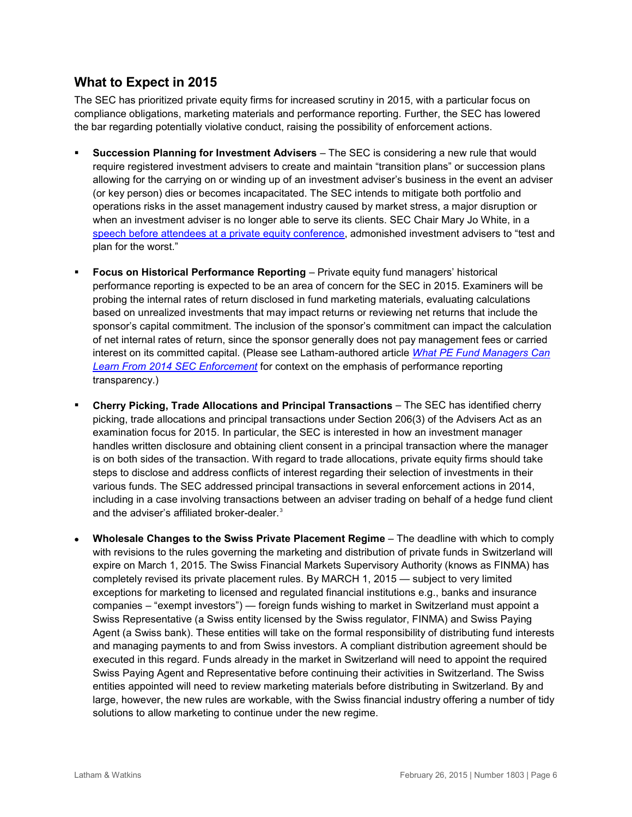## **What to Expect in 2015**

The SEC has prioritized private equity firms for increased scrutiny in 2015, with a particular focus on compliance obligations, marketing materials and performance reporting. Further, the SEC has lowered the bar regarding potentially violative conduct, raising the possibility of enforcement actions.

- **Succession Planning for Investment Advisers** The SEC is considering a new rule that would require registered investment advisers to create and maintain "transition plans" or succession plans allowing for the carrying on or winding up of an investment adviser's business in the event an adviser (or key person) dies or becomes incapacitated. The SEC intends to mitigate both portfolio and operations risks in the asset management industry caused by market stress, a major disruption or when an investment adviser is no longer able to serve its clients. SEC Chair Mary Jo White, in a [speech before attendees at a private equity conference,](http://www.sec.gov/News/Speech/Detail/Speech/1370543677722#.VNUHyvnF-Ck) admonished investment advisers to "test and plan for the worst."
- **Focus on Historical Performance Reporting**  Private equity fund managers' historical performance reporting is expected to be an area of concern for the SEC in 2015. Examiners will be probing the internal rates of return disclosed in fund marketing materials, evaluating calculations based on unrealized investments that may impact returns or reviewing net returns that include the sponsor's capital commitment. The inclusion of the sponsor's commitment can impact the calculation of net internal rates of return, since the sponsor generally does not pay management fees or carried interest on its committed capital. (Please see Latham-authored article *[What PE Fund Managers Can](http://www.lw.com/mediaCoverage/what-pe-fund-managers-can-learn-from-2014-sec-enforcement)  [Learn From 2014 SEC Enforcement](http://www.lw.com/mediaCoverage/what-pe-fund-managers-can-learn-from-2014-sec-enforcement)* for context on the emphasis of performance reporting transparency.)
- **Cherry Picking, Trade Allocations and Principal Transactions**  The SEC has identified cherry picking, trade allocations and principal transactions under Section 206(3) of the Advisers Act as an examination focus for 2015. In particular, the SEC is interested in how an investment manager handles written disclosure and obtaining client consent in a principal transaction where the manager is on both sides of the transaction. With regard to trade allocations, private equity firms should take steps to disclose and address conflicts of interest regarding their selection of investments in their various funds. The SEC addressed principal transactions in several enforcement actions in 2014, including in a case involving transactions between an adviser trading on behalf of a hedge fund client and the adviser's affiliated broker-dealer.<sup>[3](#page-7-2)</sup>
- **Wholesale Changes to the Swiss Private Placement Regime** The deadline with which to comply with revisions to the rules governing the marketing and distribution of private funds in Switzerland will expire on March 1, 2015. The Swiss Financial Markets Supervisory Authority (knows as FINMA) has completely revised its private placement rules. By MARCH 1, 2015 — subject to very limited exceptions for marketing to licensed and regulated financial institutions e.g., banks and insurance companies – "exempt investors") — foreign funds wishing to market in Switzerland must appoint a Swiss Representative (a Swiss entity licensed by the Swiss regulator, FINMA) and Swiss Paying Agent (a Swiss bank). These entities will take on the formal responsibility of distributing fund interests and managing payments to and from Swiss investors. A compliant distribution agreement should be executed in this regard. Funds already in the market in Switzerland will need to appoint the required Swiss Paying Agent and Representative before continuing their activities in Switzerland. The Swiss entities appointed will need to review marketing materials before distributing in Switzerland. By and large, however, the new rules are workable, with the Swiss financial industry offering a number of tidy solutions to allow marketing to continue under the new regime.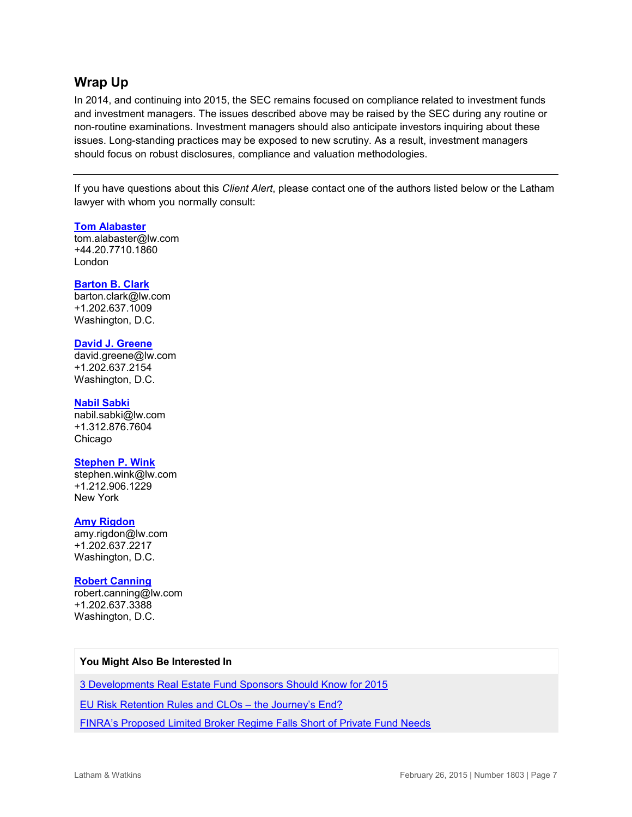## **Wrap Up**

In 2014, and continuing into 2015, the SEC remains focused on compliance related to investment funds and investment managers. The issues described above may be raised by the SEC during any routine or non-routine examinations. Investment managers should also anticipate investors inquiring about these issues. Long-standing practices may be exposed to new scrutiny. As a result, investment managers should focus on robust disclosures, compliance and valuation methodologies.

If you have questions about this *Client Alert*, please contact one of the authors listed below or the Latham lawyer with whom you normally consult:

## **[Tom Alabaster](http://www.lw.com/people/tom-alabaster)**

[tom.alabaster@lw.com](mailto:tom.alabaster@lw.com) +44.20.7710.1860 London

## **[Barton B. Clark](http://www.lw.com/people/barton-clark)**

[barton.clark@lw.com](mailto:barton.clark@lw.com) +1.202.637.1009 Washington, D.C.

## **[David J. Greene](http://www.lw.com/people/david-greene)**

[david.greene@lw.com](mailto:david.greene@lw.com) +1.202.637.2154 Washington, D.C.

#### **[Nabil Sabki](http://www.lw.com/people/nabil-sabki)**

[nabil.sabki@lw.com](mailto:nabil.sabki@lw.com) +1.312.876.7604 Chicago

## **[Stephen P. Wink](http://www.lw.com/people/stephen-wink)**

[stephen.wink@lw.com](mailto:stephen.wink@lw.com) +1.212.906.1229 New York

## **[Amy Rigdon](mailto:amy.rigdon@lw.com)**

[amy.rigdon@lw.com](mailto:amy.rigdon@lw.com) +1.202.637.2217 Washington, D.C.

## **[Robert Canning](mailto:robert.canning@lw.com)**

[robert.canning@lw.com](mailto:robert.canning@lw.com) +1.202.637.3388 Washington, D.C.

## **You Might Also Be Interested In**

[3 Developments Real Estate Fund Sponsors Should Know for 2015](http://www.lw.com/thoughtLeadership/LW-3-developments-real-estate-fund-sponsors-should-know-for-2015)

[EU Risk Retention Rules and CLOs –](http://www.lw.com/thoughtLeadership/LW-EU-CLO-regulatory-technical-standards) the Journey's End?

[FINRA's Proposed Limited Broker Regime Falls Short of Private Fund Needs](http://www.lw.com/thoughtLeadership/LW-FINRA-proposed-broker-regime)